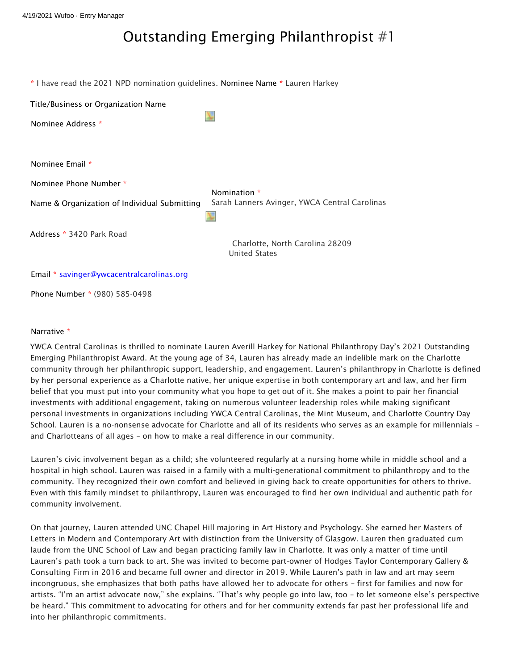## Outstanding Emerging Philanthropist #1

| * I have read the 2021 NPD nomination guidelines. Nominee Name * Lauren Harkey |                                                         |
|--------------------------------------------------------------------------------|---------------------------------------------------------|
| Title/Business or Organization Name<br>Nominee Address *                       |                                                         |
|                                                                                |                                                         |
| Nominee Email *                                                                |                                                         |
| Nominee Phone Number *                                                         | Nomination *                                            |
| Name & Organization of Individual Submitting                                   | Sarah Lanners Avinger, YWCA Central Carolinas           |
| Address * 3420 Park Road                                                       | Charlotte, North Carolina 28209<br><b>United States</b> |
| Email * savinger@ywcacentralcarolinas.org                                      |                                                         |
| Phone Number * (980) 585-0498                                                  |                                                         |

## Narrative \*

YWCA Central Carolinas is thrilled to nominate Lauren Averill Harkey for National Philanthropy Day's 2021 Outstanding Emerging Philanthropist Award. At the young age of 34, Lauren has already made an indelible mark on the Charlotte community through her philanthropic support, leadership, and engagement. Lauren's philanthropy in Charlotte is defined by her personal experience as a Charlotte native, her unique expertise in both contemporary art and law, and her firm belief that you must put into your community what you hope to get out of it. She makes a point to pair her financial investments with additional engagement, taking on numerous volunteer leadership roles while making significant personal investments in organizations including YWCA Central Carolinas, the Mint Museum, and Charlotte Country Day School. Lauren is a no-nonsense advocate for Charlotte and all of its residents who serves as an example for millennials – and Charlotteans of all ages – on how to make a real difference in our community.

Lauren's civic involvement began as a child; she volunteered regularly at a nursing home while in middle school and a hospital in high school. Lauren was raised in a family with a multi-generational commitment to philanthropy and to the community. They recognized their own comfort and believed in giving back to create opportunities for others to thrive. Even with this family mindset to philanthropy, Lauren was encouraged to find her own individual and authentic path for community involvement.

On that journey, Lauren attended UNC Chapel Hill majoring in Art History and Psychology. She earned her Masters of Letters in Modern and Contemporary Art with distinction from the University of Glasgow. Lauren then graduated cum laude from the UNC School of Law and began practicing family law in Charlotte. It was only a matter of time until Lauren's path took a turn back to art. She was invited to become part-owner of Hodges Taylor Contemporary Gallery & Consulting Firm in 2016 and became full owner and director in 2019. While Lauren's path in law and art may seem incongruous, she emphasizes that both paths have allowed her to advocate for others – first for families and now for artists. "I'm an artist advocate now," she explains. "That's why people go into law, too – to let someone else's perspective be heard." This commitment to advocating for others and for her community extends far past her professional life and into her philanthropic commitments.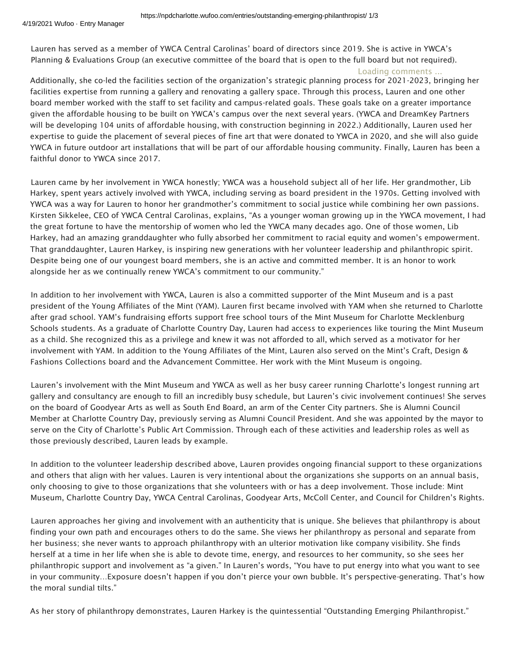Lauren has served as a member of YWCA Central Carolinas' board of directors since 2019. She is active in YWCA's Planning & Evaluations Group (an executive committee of the board that is open to the full board but not required).

## Loading comments ...

Additionally, she co-led the facilities section of the organization's strategic planning process for 2021-2023, bringing her facilities expertise from running a gallery and renovating a gallery space. Through this process, Lauren and one other board member worked with the staff to set facility and campus-related goals. These goals take on a greater importance given the affordable housing to be built on YWCA's campus over the next several years. (YWCA and DreamKey Partners will be developing 104 units of affordable housing, with construction beginning in 2022.) Additionally, Lauren used her expertise to guide the placement of several pieces of fine art that were donated to YWCA in 2020, and she will also guide YWCA in future outdoor art installations that will be part of our affordable housing community. Finally, Lauren has been a faithful donor to YWCA since 2017.

Lauren came by her involvement in YWCA honestly; YWCA was a household subject all of her life. Her grandmother, Lib Harkey, spent years actively involved with YWCA, including serving as board president in the 1970s. Getting involved with YWCA was a way for Lauren to honor her grandmother's commitment to social justice while combining her own passions. Kirsten Sikkelee, CEO of YWCA Central Carolinas, explains, "As a younger woman growing up in the YWCA movement, I had the great fortune to have the mentorship of women who led the YWCA many decades ago. One of those women, Lib Harkey, had an amazing granddaughter who fully absorbed her commitment to racial equity and women's empowerment. That granddaughter, Lauren Harkey, is inspiring new generations with her volunteer leadership and philanthropic spirit. Despite being one of our youngest board members, she is an active and committed member. It is an honor to work alongside her as we continually renew YWCA's commitment to our community."

In addition to her involvement with YWCA, Lauren is also a committed supporter of the Mint Museum and is a past president of the Young Affiliates of the Mint (YAM). Lauren first became involved with YAM when she returned to Charlotte after grad school. YAM's fundraising efforts support free school tours of the Mint Museum for Charlotte Mecklenburg Schools students. As a graduate of Charlotte Country Day, Lauren had access to experiences like touring the Mint Museum as a child. She recognized this as a privilege and knew it was not afforded to all, which served as a motivator for her involvement with YAM. In addition to the Young Affiliates of the Mint, Lauren also served on the Mint's Craft, Design & Fashions Collections board and the Advancement Committee. Her work with the Mint Museum is ongoing.

Lauren's involvement with the Mint Museum and YWCA as well as her busy career running Charlotte's longest running art gallery and consultancy are enough to fill an incredibly busy schedule, but Lauren's civic involvement continues! She serves on the board of Goodyear Arts as well as South End Board, an arm of the Center City partners. She is Alumni Council Member at Charlotte Country Day, previously serving as Alumni Council President. And she was appointed by the mayor to serve on the City of Charlotte's Public Art Commission. Through each of these activities and leadership roles as well as those previously described, Lauren leads by example.

In addition to the volunteer leadership described above, Lauren provides ongoing financial support to these organizations and others that align with her values. Lauren is very intentional about the organizations she supports on an annual basis, only choosing to give to those organizations that she volunteers with or has a deep involvement. Those include: Mint Museum, Charlotte Country Day, YWCA Central Carolinas, Goodyear Arts, McColl Center, and Council for Children's Rights.

Lauren approaches her giving and involvement with an authenticity that is unique. She believes that philanthropy is about finding your own path and encourages others to do the same. She views her philanthropy as personal and separate from her business; she never wants to approach philanthropy with an ulterior motivation like company visibility. She finds herself at a time in her life when she is able to devote time, energy, and resources to her community, so she sees her philanthropic support and involvement as "a given." In Lauren's words, "You have to put energy into what you want to see in your community…Exposure doesn't happen if you don't pierce your own bubble. It's perspective-generating. That's how the moral sundial tilts."

As her story of philanthropy demonstrates, Lauren Harkey is the quintessential "Outstanding Emerging Philanthropist."